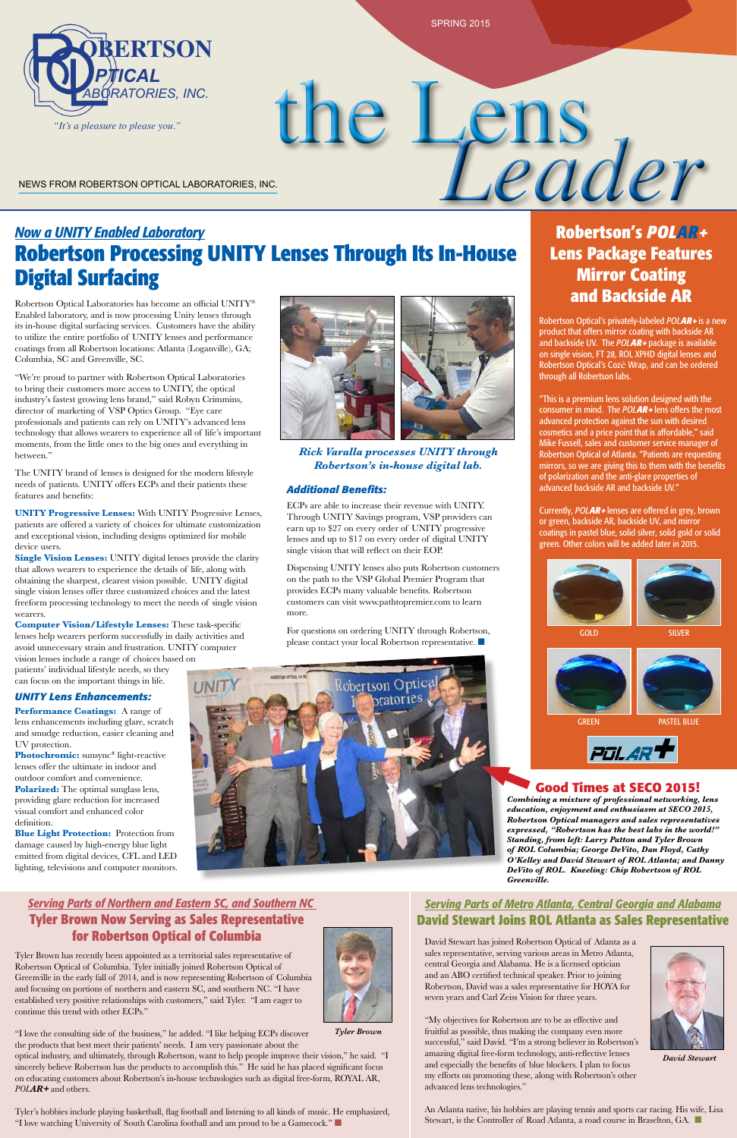# *Now a UNITY Enabled Laboratory* **Robertson Processing UNITY Lenses Through Its In-House Digital Surfacing**

Robertson Optical Laboratories has become an official UNITY® Enabled laboratory, and is now processing Unity lenses through its in-house digital surfacing services. Customers have the ability to utilize the entire portfolio of UNITY lenses and performance coatings from all Robertson locations: Atlanta (Loganville), GA; Columbia, SC and Greenville, SC.

"We're proud to partner with Robertson Optical Laboratories to bring their customers more access to UNITY, the optical industry's fastest growing lens brand," said Robyn Crimmins, director of marketing of VSP Optics Group. "Eye care professionals and patients can rely on UNITY's advanced lens technology that allows wearers to experience all of life's important moments, from the little ones to the big ones and everything in between."

The UNITY brand of lenses is designed for the modern lifestyle needs of patients. UNITY offers ECPs and their patients these features and benefits:

**UNITY Progressive Lenses:** With UNITY Progressive Lenses, patients are offered a variety of choices for ultimate customization and exceptional vision, including designs optimized for mobile device users.

**Polarized:** The optimal sunglass lens, providing glare reduction for increased visual comfort and enhanced color definition.

# the Lens NEWS FROM ROBERTSON OPTICAL LABORATORIES, INC.

ECPs are able to increase their revenue with UNITY. Through UNITY Savings program, VSP providers can rmough CIVITT Savings program, v.St providers can<br>
earn up to \$27 on every order of UNITY progressive coatings in pastel blue, solid silver, solid gold or solid<br>
lenses and up to \$17 on every order of digital UNITY lenses and up to \$17 on every order of digital UNITY single vision that will reflect on their EOP. den CIVITT Savings program, v.st providers can<br>
up to \$27 on every order of UNITY progressive coatings in pastel blue, solid silver, solid gold or solid<br>
s and up to \$17 on every order of digital UNITY

**Single Vision Lenses:** UNITY digital lenses provide the clarity that allows wearers to experience the details of life, along with obtaining the sharpest, clearest vision possible. UNITY digital single vision lenses offer three customized choices and the latest freeform processing technology to meet the needs of single vision wearers.

> For questions on ordering UNITY through Robertson, please contact your local Robertson representative.  $\blacksquare$

**Computer Vision/Lifestyle Lenses:** These task-specific lenses help wearers perform successfully in daily activities and avoid unnecessary strain and frustration. UNITY computer vision lenses include a range of choices based on

patients' individual lifestyle needs, so they can focus on the important things in life.

#### *UNITY Lens Enhancements:*

An Atlanta native, his hobbies are playing tennis and sports car racing. His wife, Lisa Stewart, is the Controller of Road Atlanta, a road course in Braselton, GA.

**Performance Coatings:** A range of lens enhancements including glare, scratch and smudge reduction, easier cleaning and UV protection.

**Photochromic:** sunsync® light-reactive lenses offer the ultimate in indoor and outdoor comfort and convenience.

**Blue Light Protection:** Protection from

damage caused by high-energy blue light emitted from digital devices, CFL and LED lighting, televisions and computer monitors.



SPRING 2015

#### *Additional Benefits:*

Tyler's hobbies include playing basketball, flag football and listening to all kinds of music. He emphasized, "I love watching University of South Carolina football and am proud to be a Gamecock." $\blacksquare$ 

"This is a premium lens solution designed with the through all Robertson labs.<br>
"This is a premium lens solution designed with the consumer in mind. The *POLAR* + lens offers the most advanced protection against the sun with desired cosmetics and a price point that is affordable," said Cosmetics and a price point that is affordable," said<br>Mike Fussell, sales and customer service manager of<br>Robertson Ontical of Atlanta "Patients are requesting Robertson Optical of Atlanta. "Patients are requesting mirrors, so we are giving this to them with the benefits of polarization and the anti-glare properties of of polarization and the anti-glare properties of advanced backside AR and backside UV."<br> *COLAR MHATER* 

on the path to the VSP Global Premier Program that provides ECPs many valuable benefits. Robertson customers can visit www.pathtopremier.com to learn customers can visit www.pathtopremier.com to learn more.

**2.** *Currently, POLAR* + lenses are offered in grey, brown or green, backside AR, backside UV, and mirror green. Other colors will be added later in 2015.

# **Robertson's** *POLAR<sup>+</sup>* **Lens Package Features Mirror Coating and Backside AR**<br>n Optical's privately-labeled POLAR+ is a new

David Stewart has joined Robertson Optical of Atlanta as a sales representative, serving various areas in Metro Atlanta, central Georgia and Alabama. He is a licensed optician and an ABO certified technical speaker. Prior to joining Robertson, David was a sales representative for HOYA for seven years and Carl Zeiss Vision for three years.

"My objectives for Robertson are to be as effective and fruitful as possible, thus making the company even more successful," said David. "I'm a strong believer in Robertson's amazing digital free-form technology, anti-reflective lenses and especially the benefits of blue blockers. I plan to focus my efforts on promoting these, along with Robertson's other advanced lens technologies."



expressed, "Robertson has the best labs in the world!"<br>Standing, from left: Larry Patton and Tyler Brown<br>Colla<sup>tion</sup> of the state of the state of the state of the state of the state of the state of the state of the st *Combining a mixture of professional networking, lens education, enjoyment and enthusiasm at SECO 2015, Robertson Optical managers and sales representatives expressed, "Robertson has the best labs in the world!" of ROL Columbia; George DeVito, Dan Floyd, Cathy O'Kelley and David Stewart of ROL Atlanta; and Danny DeVito of ROL. Kneeling: Chip Robertson of ROL Greenville.*

### *Serving Parts of Northern and Eastern SC, and Southern NC*  **Tyler Brown Now Serving as Sales Representative for Robertson Optical of Columbia**

Tyler Brown has recently been appointed as a territorial sales representative of Robertson Optical of Columbia. Tyler initially joined Robertson Optical of Greenville in the early fall of 2014, and is now representing Robertson of Columbia and focusing on portions of northern and eastern SC, and southern NC. "I have established very positive relationships with customers," said Tyler. "I am eager to continue this trend with other ECPs."

"I love the consulting side of the business," he added. "I like helping ECPs discover the products that best meet their patients' needs. I am very passionate about the

optical industry, and ultimately, through Robertson, want to help people improve their vision," he said. "I sincerely believe Robertson has the products to accomplish this." He said he has placed significant focus on educating customers about Robertson's in-house technologies such as digital free-form, ROYAL AR, *POLAR+* and others.



Robertson Optical's privately-labeled *PolAR+* is a new product that offers mirror coating with backside AR and backside UV. The *PolAR+* package is available on single vision, FT 28, ROL XPHD digital lenses and<br>**Robertson Ontical's Coze Wran, and can be ordered** Robertson Optical's Cozē Wrap, and can be ordered through all Robertson labs.

# *Serving Parts of Metro Atlanta, Central Georgia and Alabama* **David Stewart Joins ROL Atlanta as Sales Representative** *www.robertsonoptical.com www.robertsonoptical.com*









*Rick Varalla processes UNITY through Robertson's in-house digital lab.*

*Tyler Brown*

*David Stewart*